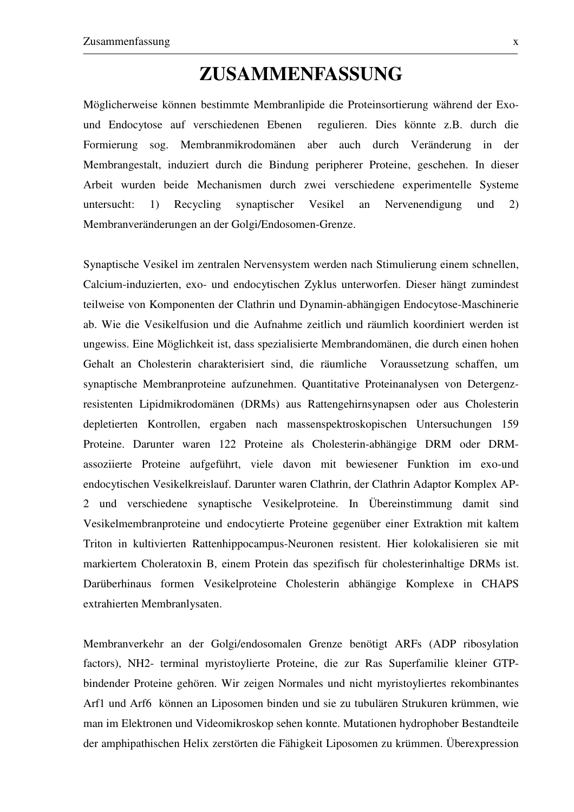## **ZUSAMMENFASSUNG**

Möglicherweise können bestimmte Membranlipide die Proteinsortierung während der Exound Endocytose auf verschiedenen Ebenen regulieren. Dies könnte z.B. durch die Formierung sog. Membranmikrodomänen aber auch durch Veränderung in der Membrangestalt, induziert durch die Bindung peripherer Proteine, geschehen. In dieser Arbeit wurden beide Mechanismen durch zwei verschiedene experimentelle Systeme untersucht: 1) Recycling synaptischer Vesikel an Nervenendigung und 2) Membranveränderungen an der Golgi/Endosomen-Grenze.

Synaptische Vesikel im zentralen Nervensystem werden nach Stimulierung einem schnellen, Calcium-induzierten, exo- und endocytischen Zyklus unterworfen. Dieser hängt zumindest teilweise von Komponenten der Clathrin und Dynamin-abhängigen Endocytose-Maschinerie ab. Wie die Vesikelfusion und die Aufnahme zeitlich und räumlich koordiniert werden ist ungewiss. Eine Möglichkeit ist, dass spezialisierte Membrandomänen, die durch einen hohen Gehalt an Cholesterin charakterisiert sind, die räumliche Voraussetzung schaffen, um synaptische Membranproteine aufzunehmen. Quantitative Proteinanalysen von Detergenzresistenten Lipidmikrodomänen (DRMs) aus Rattengehirnsynapsen oder aus Cholesterin depletierten Kontrollen, ergaben nach massenspektroskopischen Untersuchungen 159 Proteine. Darunter waren 122 Proteine als Cholesterin-abhängige DRM oder DRMassoziierte Proteine aufgeführt, viele davon mit bewiesener Funktion im exo-und endocytischen Vesikelkreislauf. Darunter waren Clathrin, der Clathrin Adaptor Komplex AP-2 und verschiedene synaptische Vesikelproteine. In Übereinstimmung damit sind Vesikelmembranproteine und endocytierte Proteine gegenüber einer Extraktion mit kaltem Triton in kultivierten Rattenhippocampus-Neuronen resistent. Hier kolokalisieren sie mit markiertem Choleratoxin B, einem Protein das spezifisch für cholesterinhaltige DRMs ist. Darüberhinaus formen Vesikelproteine Cholesterin abhängige Komplexe in CHAPS extrahierten Membranlysaten.

Membranverkehr an der Golgi/endosomalen Grenze benötigt ARFs (ADP ribosylation factors), NH2- terminal myristoylierte Proteine, die zur Ras Superfamilie kleiner GTPbindender Proteine gehören. Wir zeigen Normales und nicht myristoyliertes rekombinantes Arf1 und Arf6 können an Liposomen binden und sie zu tubulären Strukuren krümmen, wie man im Elektronen und Videomikroskop sehen konnte. Mutationen hydrophober Bestandteile der amphipathischen Helix zerstörten die Fähigkeit Liposomen zu krümmen. Überexpression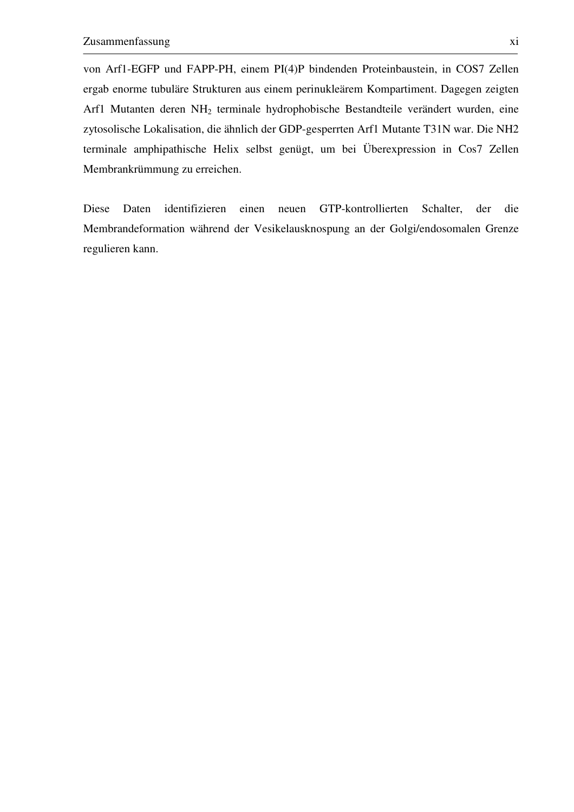von Arf1-EGFP und FAPP-PH, einem PI(4)P bindenden Proteinbaustein, in COS7 Zellen ergab enorme tubuläre Strukturen aus einem perinukleärem Kompartiment. Dagegen zeigten Arf1 Mutanten deren NH2 terminale hydrophobische Bestandteile verändert wurden, eine zytosolische Lokalisation, die ähnlich der GDP-gesperrten Arf1 Mutante T31N war. Die NH2 terminale amphipathische Helix selbst genügt, um bei Überexpression in Cos7 Zellen Membrankrümmung zu erreichen.

Diese Daten identifizieren einen neuen GTP-kontrollierten Schalter, der die Membrandeformation während der Vesikelausknospung an der Golgi/endosomalen Grenze regulieren kann.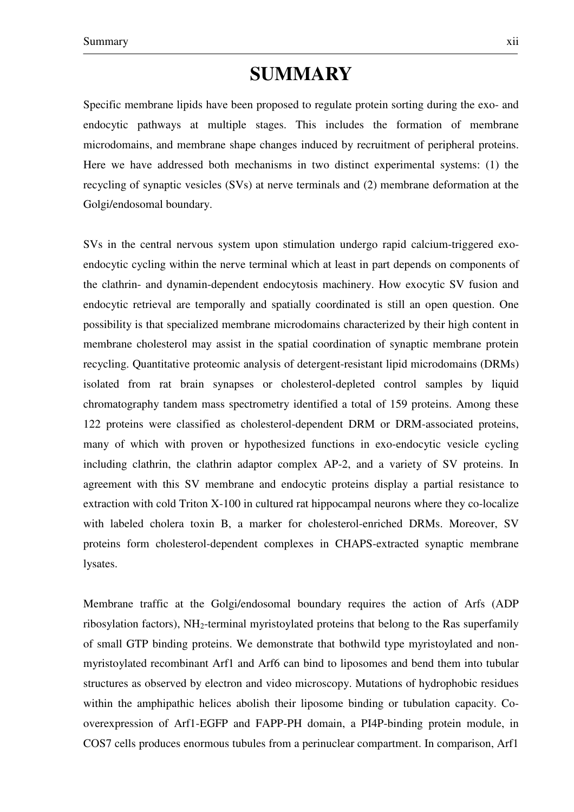## **SUMMARY**

Specific membrane lipids have been proposed to regulate protein sorting during the exo- and endocytic pathways at multiple stages. This includes the formation of membrane microdomains, and membrane shape changes induced by recruitment of peripheral proteins. Here we have addressed both mechanisms in two distinct experimental systems: (1) the recycling of synaptic vesicles (SVs) at nerve terminals and (2) membrane deformation at the Golgi/endosomal boundary.

SVs in the central nervous system upon stimulation undergo rapid calcium-triggered exoendocytic cycling within the nerve terminal which at least in part depends on components of the clathrin- and dynamin-dependent endocytosis machinery. How exocytic SV fusion and endocytic retrieval are temporally and spatially coordinated is still an open question. One possibility is that specialized membrane microdomains characterized by their high content in membrane cholesterol may assist in the spatial coordination of synaptic membrane protein recycling. Quantitative proteomic analysis of detergent-resistant lipid microdomains (DRMs) isolated from rat brain synapses or cholesterol-depleted control samples by liquid chromatography tandem mass spectrometry identified a total of 159 proteins. Among these 122 proteins were classified as cholesterol-dependent DRM or DRM-associated proteins, many of which with proven or hypothesized functions in exo-endocytic vesicle cycling including clathrin, the clathrin adaptor complex AP-2, and a variety of SV proteins. In agreement with this SV membrane and endocytic proteins display a partial resistance to extraction with cold Triton X-100 in cultured rat hippocampal neurons where they co-localize with labeled cholera toxin B, a marker for cholesterol-enriched DRMs. Moreover, SV proteins form cholesterol-dependent complexes in CHAPS-extracted synaptic membrane lysates.

Membrane traffic at the Golgi/endosomal boundary requires the action of Arfs (ADP ribosylation factors), NH2-terminal myristoylated proteins that belong to the Ras superfamily of small GTP binding proteins. We demonstrate that bothwild type myristoylated and nonmyristoylated recombinant Arf1 and Arf6 can bind to liposomes and bend them into tubular structures as observed by electron and video microscopy. Mutations of hydrophobic residues within the amphipathic helices abolish their liposome binding or tubulation capacity. Cooverexpression of Arf1-EGFP and FAPP-PH domain, a PI4P-binding protein module, in COS7 cells produces enormous tubules from a perinuclear compartment. In comparison, Arf1